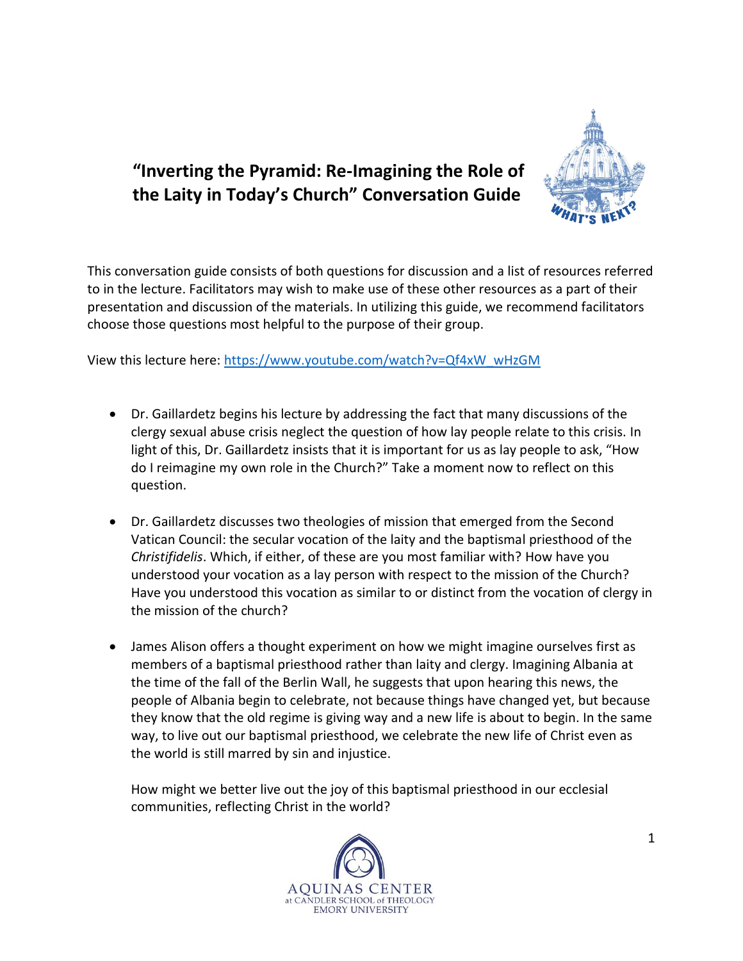

## **"Inverting the Pyramid: Re-Imagining the Role of the Laity in Today's Church" Conversation Guide**

This conversation guide consists of both questions for discussion and a list of resources referred to in the lecture. Facilitators may wish to make use of these other resources as a part of their presentation and discussion of the materials. In utilizing this guide, we recommend facilitators choose those questions most helpful to the purpose of their group.

View this lecture here: [https://www.youtube.com/watch?v=Qf4xW\\_wHzGM](https://www.youtube.com/watch?v=Qf4xW_wHzGM)

- Dr. Gaillardetz begins his lecture by addressing the fact that many discussions of the clergy sexual abuse crisis neglect the question of how lay people relate to this crisis. In light of this, Dr. Gaillardetz insists that it is important for us as lay people to ask, "How do I reimagine my own role in the Church?" Take a moment now to reflect on this question.
- Dr. Gaillardetz discusses two theologies of mission that emerged from the Second Vatican Council: the secular vocation of the laity and the baptismal priesthood of the *Christifidelis*. Which, if either, of these are you most familiar with? How have you understood your vocation as a lay person with respect to the mission of the Church? Have you understood this vocation as similar to or distinct from the vocation of clergy in the mission of the church?
- James Alison offers a thought experiment on how we might imagine ourselves first as members of a baptismal priesthood rather than laity and clergy. Imagining Albania at the time of the fall of the Berlin Wall, he suggests that upon hearing this news, the people of Albania begin to celebrate, not because things have changed yet, but because they know that the old regime is giving way and a new life is about to begin. In the same way, to live out our baptismal priesthood, we celebrate the new life of Christ even as the world is still marred by sin and injustice.

How might we better live out the joy of this baptismal priesthood in our ecclesial communities, reflecting Christ in the world?

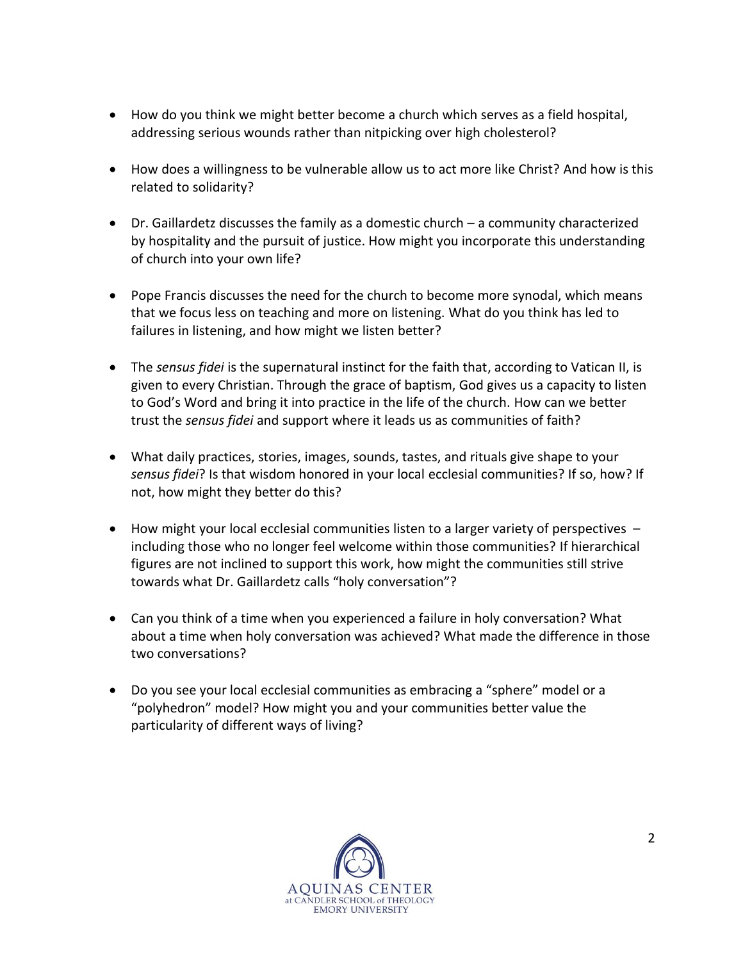- How do you think we might better become a church which serves as a field hospital, addressing serious wounds rather than nitpicking over high cholesterol?
- How does a willingness to be vulnerable allow us to act more like Christ? And how is this related to solidarity?
- Dr. Gaillardetz discusses the family as a domestic church a community characterized by hospitality and the pursuit of justice. How might you incorporate this understanding of church into your own life?
- Pope Francis discusses the need for the church to become more synodal, which means that we focus less on teaching and more on listening. What do you think has led to failures in listening, and how might we listen better?
- The *sensus fidei* is the supernatural instinct for the faith that, according to Vatican II, is given to every Christian. Through the grace of baptism, God gives us a capacity to listen to God's Word and bring it into practice in the life of the church. How can we better trust the *sensus fidei* and support where it leads us as communities of faith?
- What daily practices, stories, images, sounds, tastes, and rituals give shape to your *sensus fidei*? Is that wisdom honored in your local ecclesial communities? If so, how? If not, how might they better do this?
- How might your local ecclesial communities listen to a larger variety of perspectives including those who no longer feel welcome within those communities? If hierarchical figures are not inclined to support this work, how might the communities still strive towards what Dr. Gaillardetz calls "holy conversation"?
- Can you think of a time when you experienced a failure in holy conversation? What about a time when holy conversation was achieved? What made the difference in those two conversations?
- Do you see your local ecclesial communities as embracing a "sphere" model or a "polyhedron" model? How might you and your communities better value the particularity of different ways of living?

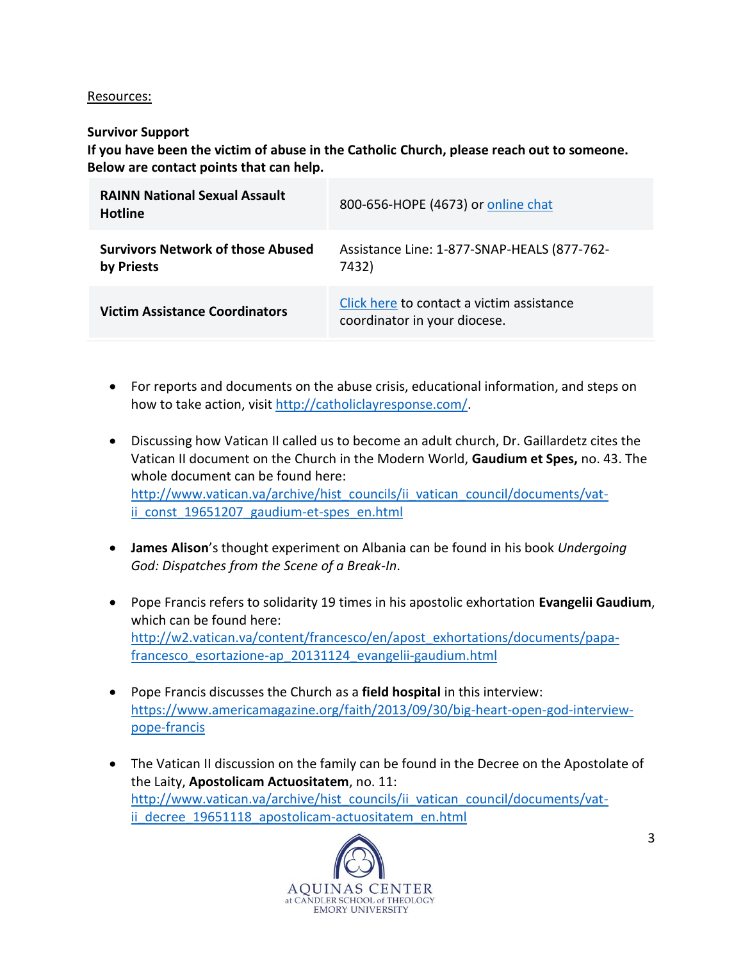## Resources:

## **Survivor Support**

**If you have been the victim of abuse in the Catholic Church, please reach out to someone. Below are contact points that can help.**

| <b>RAINN National Sexual Assault</b><br><b>Hotline</b> | 800-656-HOPE (4673) or online chat                                        |
|--------------------------------------------------------|---------------------------------------------------------------------------|
| <b>Survivors Network of those Abused</b><br>by Priests | Assistance Line: 1-877-SNAP-HEALS (877-762-<br>7432)                      |
| <b>Victim Assistance Coordinators</b>                  | Click here to contact a victim assistance<br>coordinator in your diocese. |

- For reports and documents on the abuse crisis, educational information, and steps on how to take action, visit [http://catholiclayresponse.com/.](http://catholiclayresponse.com/)
- Discussing how Vatican II called us to become an adult church, Dr. Gaillardetz cites the Vatican II document on the Church in the Modern World, **Gaudium et Spes,** no. 43. The whole document can be found here: [http://www.vatican.va/archive/hist\\_councils/ii\\_vatican\\_council/documents/vat](http://www.vatican.va/archive/hist_councils/ii_vatican_council/documents/vat-ii_const_19651207_gaudium-et-spes_en.html)[ii\\_const\\_19651207\\_gaudium-et-spes\\_en.html](http://www.vatican.va/archive/hist_councils/ii_vatican_council/documents/vat-ii_const_19651207_gaudium-et-spes_en.html)
- **James Alison**'s thought experiment on Albania can be found in his book *Undergoing God: Dispatches from the Scene of a Break-In*.
- Pope Francis refers to solidarity 19 times in his apostolic exhortation **Evangelii Gaudium**, which can be found here: [http://w2.vatican.va/content/francesco/en/apost\\_exhortations/documents/papa](http://w2.vatican.va/content/francesco/en/apost_exhortations/documents/papa-francesco_esortazione-ap_20131124_evangelii-gaudium.html)[francesco\\_esortazione-ap\\_20131124\\_evangelii-gaudium.html](http://w2.vatican.va/content/francesco/en/apost_exhortations/documents/papa-francesco_esortazione-ap_20131124_evangelii-gaudium.html)
- Pope Francis discusses the Church as a **field hospital** in this interview: [https://www.americamagazine.org/faith/2013/09/30/big-heart-open-god-interview](https://www.americamagazine.org/faith/2013/09/30/big-heart-open-god-interview-pope-francis)[pope-francis](https://www.americamagazine.org/faith/2013/09/30/big-heart-open-god-interview-pope-francis)
- The Vatican II discussion on the family can be found in the Decree on the Apostolate of the Laity, **Apostolicam Actuositatem**, no. 11: [http://www.vatican.va/archive/hist\\_councils/ii\\_vatican\\_council/documents/vat](http://www.vatican.va/archive/hist_councils/ii_vatican_council/documents/vat-ii_decree_19651118_apostolicam-actuositatem_en.html)ii decree 19651118 apostolicam-actuositatem en.html